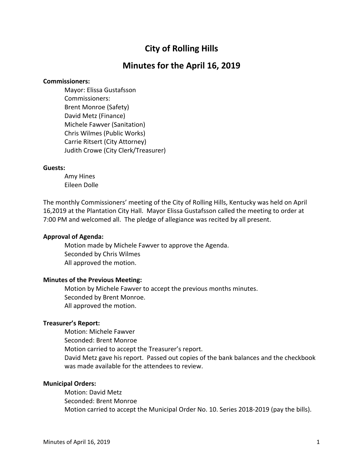# **City of Rolling Hills**

## **Minutes for the April 16, 2019**

#### **Commissioners:**

Mayor: Elissa Gustafsson Commissioners: Brent Monroe (Safety) David Metz (Finance) Michele Fawver (Sanitation) Chris Wilmes (Public Works) Carrie Ritsert (City Attorney) Judith Crowe (City Clerk/Treasurer)

#### **Guests:**

Amy Hines Eileen Dolle

The monthly Commissioners' meeting of the City of Rolling Hills, Kentucky was held on April 16,2019 at the Plantation City Hall. Mayor Elissa Gustafsson called the meeting to order at 7:00 PM and welcomed all. The pledge of allegiance was recited by all present.

## **Approval of Agenda:**

Motion made by Michele Fawver to approve the Agenda. Seconded by Chris Wilmes All approved the motion.

#### **Minutes of the Previous Meeting:**

Motion by Michele Fawver to accept the previous months minutes. Seconded by Brent Monroe. All approved the motion.

## **Treasurer's Report:**

Motion: Michele Fawver Seconded: Brent Monroe Motion carried to accept the Treasurer's report. David Metz gave his report. Passed out copies of the bank balances and the checkbook was made available for the attendees to review.

#### **Municipal Orders:**

Motion: David Metz Seconded: Brent Monroe Motion carried to accept the Municipal Order No. 10. Series 2018-2019 (pay the bills).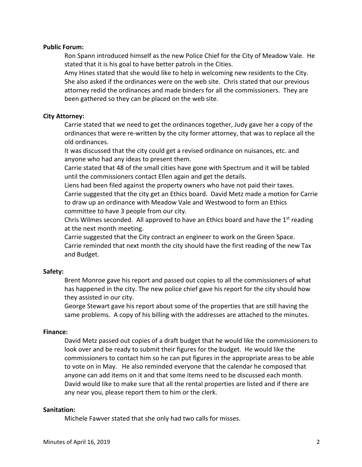## **Public Forum:**

Ron Spann introduced himself as the new Police Chief for the City of Meadow Vale. He stated that it is his goal to have better patrols in the Cities.

Amy Hines stated that she would like to help in welcoming new residents to the City. She also asked if the ordinances were on the web site. Chris stated that our previous attorney redid the ordinances and made binders for all the commissioners. They are been gathered so they can be placed on the web site.

## **City Attorney:**

Carrie stated that we need to get the ordinances together, Judy gave her a copy of the ordinances that were re-written by the city former attorney, that was to replace all the old ordinances.

It was discussed that the city could get a revised ordinance on nuisances, etc. and anyone who had any ideas to present them.

Carrie stated that 48 of the small cities have gone with Spectrum and it will be tabled until the commissioners contact Ellen again and get the details.

Liens had been filed against the property owners who have not paid their taxes. Carrie suggested that the city get an Ethics board. David Metz made a motion for Carrie to draw up an ordinance with Meadow Vale and Westwood to form an Ethics

committee to have 3 people from our city.

Chris Wilmes seconded. All approved to have an Ethics board and have the  $1<sup>st</sup>$  reading at the next month meeting.

Carrie suggested that the City contract an engineer to work on the Green Space. Carrie reminded that next month the city should have the first reading of the new Tax and Budget.

## **Safety:**

Brent Monroe gave his report and passed out copies to all the commissioners of what has happened in the city. The new police chief gave his report for the city should how they assisted in our city.

George Stewart gave his report about some of the properties that are still having the same problems. A copy of his billing with the addresses are attached to the minutes.

#### **Finance:**

David Metz passed out copies of a draft budget that he would like the commissioners to look over and be ready to submit their figures for the budget. He would like the commissioners to contact him so he can put figures in the appropriate areas to be able to vote on in May. He also reminded everyone that the calendar he composed that anyone can add items on it and that some items need to be discussed each month. David would like to make sure that all the rental properties are listed and if there are any near you, please report them to him or the clerk.

## **Sanitation:**

Michele Fawver stated that she only had two calls for misses.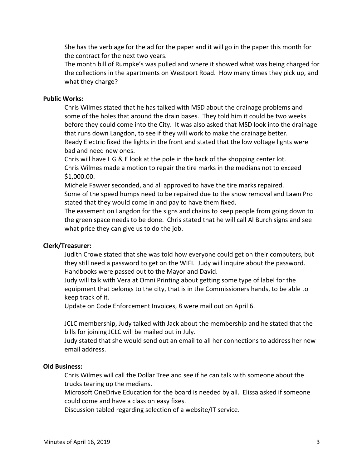She has the verbiage for the ad for the paper and it will go in the paper this month for the contract for the next two years.

The month bill of Rumpke's was pulled and where it showed what was being charged for the collections in the apartments on Westport Road. How many times they pick up, and what they charge?

#### **Public Works:**

Chris Wilmes stated that he has talked with MSD about the drainage problems and some of the holes that around the drain bases. They told him it could be two weeks before they could come into the City. It was also asked that MSD look into the drainage that runs down Langdon, to see if they will work to make the drainage better. Ready Electric fixed the lights in the front and stated that the low voltage lights were bad and need new ones.

Chris will have L G & E look at the pole in the back of the shopping center lot. Chris Wilmes made a motion to repair the tire marks in the medians not to exceed \$1,000.00.

Michele Fawver seconded, and all approved to have the tire marks repaired. Some of the speed humps need to be repaired due to the snow removal and Lawn Pro stated that they would come in and pay to have them fixed.

The easement on Langdon for the signs and chains to keep people from going down to the green space needs to be done. Chris stated that he will call Al Burch signs and see what price they can give us to do the job.

#### **Clerk/Treasurer:**

Judith Crowe stated that she was told how everyone could get on their computers, but they still need a password to get on the WIFI. Judy will inquire about the password. Handbooks were passed out to the Mayor and David.

Judy will talk with Vera at Omni Printing about getting some type of label for the equipment that belongs to the city, that is in the Commissioners hands, to be able to keep track of it.

Update on Code Enforcement Invoices, 8 were mail out on April 6.

JCLC membership, Judy talked with Jack about the membership and he stated that the bills for joining JCLC will be mailed out in July.

Judy stated that she would send out an email to all her connections to address her new email address.

#### **Old Business:**

Chris Wilmes will call the Dollar Tree and see if he can talk with someone about the trucks tearing up the medians.

Microsoft OneDrive Education for the board is needed by all. Elissa asked if someone could come and have a class on easy fixes.

Discussion tabled regarding selection of a website/IT service.